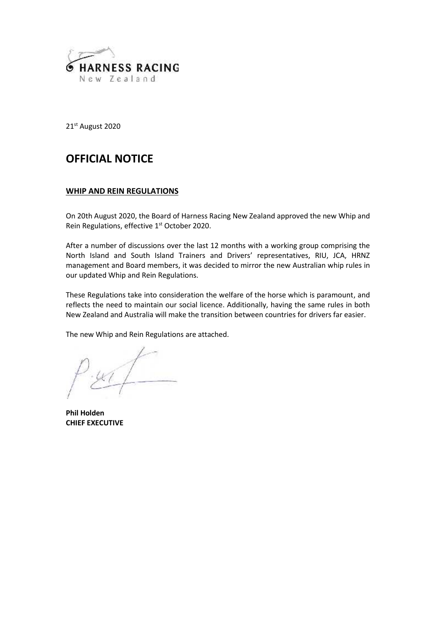

21 st August 2020

# **OFFICIAL NOTICE**

# **WHIP AND REIN REGULATIONS**

On 20th August 2020, the Board of Harness Racing New Zealand approved the new Whip and Rein Regulations, effective 1<sup>st</sup> October 2020.

After a number of discussions over the last 12 months with a working group comprising the North Island and South Island Trainers and Drivers' representatives, RIU, JCA, HRNZ management and Board members, it was decided to mirror the new Australian whip rules in our updated Whip and Rein Regulations.

These Regulations take into consideration the welfare of the horse which is paramount, and reflects the need to maintain our social licence. Additionally, having the same rules in both New Zealand and Australia will make the transition between countries for drivers far easier.

The new Whip and Rein Regulations are attached.

**Phil Holden CHIEF EXECUTIVE**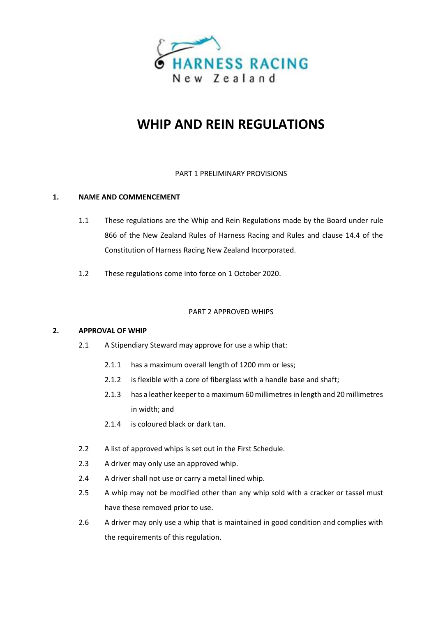

# **WHIP AND REIN REGULATIONS**

## PART 1 PRELIMINARY PROVISIONS

## **1. NAME AND COMMENCEMENT**

- 1.1 These regulations are the Whip and Rein Regulations made by the Board under rule 866 of the New Zealand Rules of Harness Racing and Rules and clause 14.4 of the Constitution of Harness Racing New Zealand Incorporated.
- 1.2 These regulations come into force on 1 October 2020.

#### PART 2 APPROVED WHIPS

#### **2. APPROVAL OF WHIP**

- 2.1 A Stipendiary Steward may approve for use a whip that:
	- 2.1.1 has a maximum overall length of 1200 mm or less;
	- 2.1.2 is flexible with a core of fiberglass with a handle base and shaft;
	- 2.1.3 has a leather keeper to a maximum 60 millimetres in length and 20 millimetres in width; and
	- 2.1.4 is coloured black or dark tan.
- 2.2 A list of approved whips is set out in the First Schedule.
- 2.3 A driver may only use an approved whip.
- 2.4 A driver shall not use or carry a metal lined whip.
- 2.5 A whip may not be modified other than any whip sold with a cracker or tassel must have these removed prior to use.
- 2.6 A driver may only use a whip that is maintained in good condition and complies with the requirements of this regulation.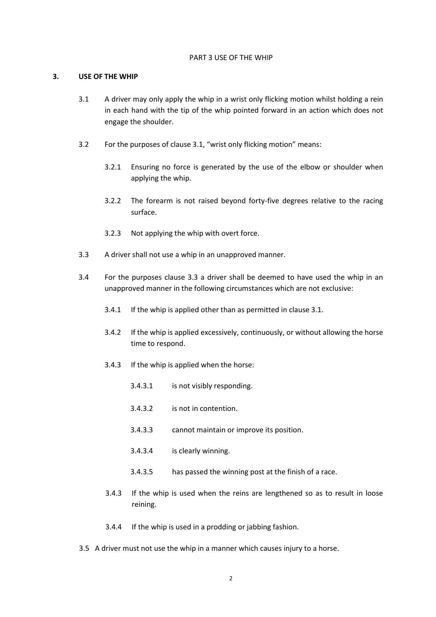#### PART 3 USE OF THE WHIP

#### **3. USE OF THE WHIP**

- 3.1 A driver may only apply the whip in a wrist only flicking motion whilst holding a rein in each hand with the tip of the whip pointed forward in an action which does not engage the shoulder.
- 3.2 For the purposes of clause 3.1, "wrist only flicking motion" means:
	- 3.2.1 Ensuring no force is generated by the use of the elbow or shoulder when applying the whip.
	- 3.2.2 The forearm is not raised beyond forty-five degrees relative to the racing surface.
	- 3.2.3 Not applying the whip with overt force.
- 3.3 A driver shall not use a whip in an unapproved manner.
- 3.4 For the purposes clause 3.3 a driver shall be deemed to have used the whip in an unapproved manner in the following circumstances which are not exclusive:
	- 3.4.1 If the whip is applied other than as permitted in clause 3.1.
	- 3.4.2 If the whip is applied excessively, continuously, or without allowing the horse time to respond.
	- 3.4.3 If the whip is applied when the horse:
		- 3.4.3.1 is not visibly responding.
		- 3.4.3.2 is not in contention.
		- 3.4.3.3 cannot maintain or improve its position.
		- 3.4.3.4 is clearly winning.
		- 3.4.3.5 has passed the winning post at the finish of a race.
	- 3.4.3 If the whip is used when the reins are lengthened so as to result in loose reining.
	- 3.4.4 If the whip is used in a prodding or jabbing fashion.
- 3.5 A driver must not use the whip in a manner which causes injury to a horse.